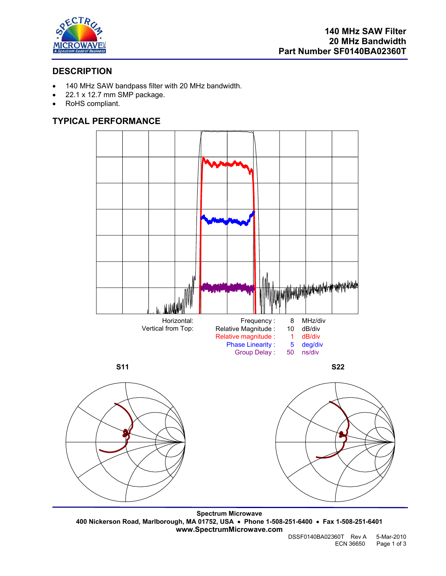

# **DESCRIPTION**

- 140 MHz SAW bandpass filter with 20 MHz bandwidth.
- 22.1 x 12.7 mm SMP package.
- RoHS compliant.

# **TYPICAL PERFORMANCE**





**Spectrum Microwave 400 Nickerson Road, Marlborough, MA 01752, USA** • **Phone 1-508-251-6400** • **Fax 1-508-251-6401 www.SpectrumMicrowave.com**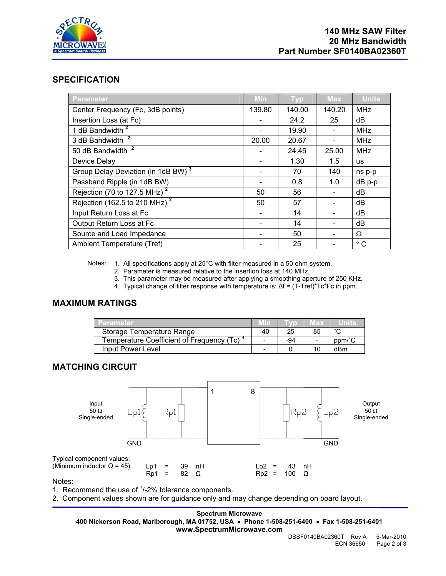

### **SPECIFICATION**

| <b>Parameter</b>                               | Min    | <b>Typ</b> | <b>Max</b> | <b>Units</b> |
|------------------------------------------------|--------|------------|------------|--------------|
| Center Frequency (Fc, 3dB points)              | 139.80 | 140.00     | 140.20     | <b>MHz</b>   |
| Insertion Loss (at Fc)                         |        | 24.2       | 25         | dB           |
| 1 dB Bandwidth <sup>2</sup>                    |        | 19.90      |            | <b>MHz</b>   |
| 3 dB Bandwidth <sup>2</sup>                    | 20.00  | 20.67      |            | <b>MHz</b>   |
| 50 dB Bandwidth <sup>2</sup>                   |        | 24.45      | 25.00      | <b>MHz</b>   |
| Device Delay                                   |        | 1.30       | 1.5        | <b>us</b>    |
| Group Delay Deviation (in 1dB BW) <sup>3</sup> |        | 70         | 140        | ns p-p       |
| Passband Ripple (in 1dB BW)                    |        | 0.8        | 1.0        | $dB$ $p-p$   |
| Rejection (70 to 127.5 MHz) $^2$               | 50     | 56         |            | dB           |
| Rejection (162.5 to 210 MHz) <sup>2</sup>      | 50     | 57         |            | dB           |
| Input Return Loss at Fc                        |        | 14         |            | dB           |
| Output Return Loss at Fc                       |        | 14         |            | dB           |
| Source and Load Impedance                      |        | 50         |            | $\Omega$     |
| Ambient Temperature (Tref)                     |        | 25         |            | $^{\circ}$ C |

Notes: 1. All specifications apply at 25°C with filter measured in a 50 ohm system.

2. Parameter is measured relative to the insertion loss at 140 MHz.

3. This parameter may be measured after applying a smoothing aperture of 250 KHz.

4. Typical change of filter response with temperature is: ∆f = (T-Tref)\*Tc\*Fc in ppm.

## **MAXIMUM RATINGS**

| Parameter                                 |     |     | 旧来                       |                                         |
|-------------------------------------------|-----|-----|--------------------------|-----------------------------------------|
| Storage Temperature Range                 | -40 | 25  | 85                       |                                         |
| Temperature Coefficient of Frequency (Tc) |     | -94 | $\overline{\phantom{0}}$ | $ppm$ <sup><math>\degree</math></sup> C |
| Input Power Level                         |     |     |                          | dBm                                     |

## **MATCHING CIRCUIT**



Notes:

1. Recommend the use of  $<sup>+</sup>/-2%$  tolerance components.</sup>

2. Component values shown are for guidance only and may change depending on board layout.

**Spectrum Microwave 400 Nickerson Road, Marlborough, MA 01752, USA** • **Phone 1-508-251-6400** • **Fax 1-508-251-6401 www.SpectrumMicrowave.com**